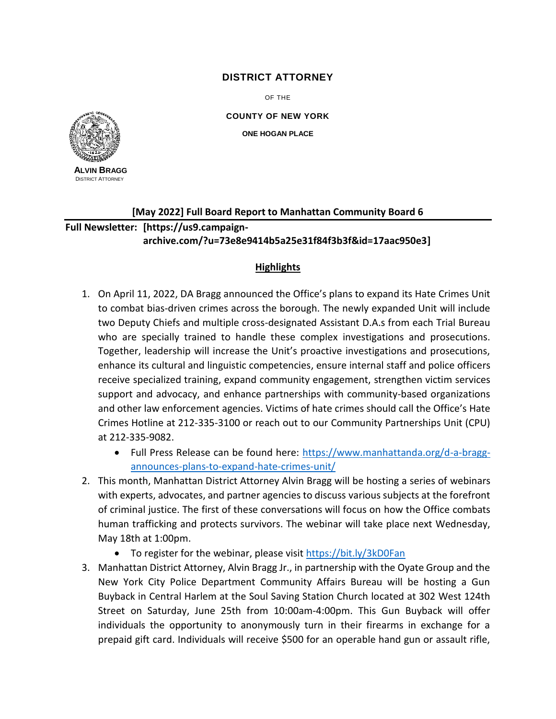## **DISTRICT ATTORNEY**

OF THE

**COUNTY OF NEW YORK ONE HOGAN PLACE**



**A (212) 335-9000 LVIN BRAGG** DISTRICT ATTORNEY

## **[May 2022] Full Board Report to Manhattan Community Board 6**

**Full Newsletter: [https://us9.campaignarchive.com/?u=73e8e9414b5a25e31f84f3b3f&id=17aac950e3]**

## **Highlights**

- 1. On April 11, 2022, DA Bragg announced the Office's plans to expand its Hate Crimes Unit to combat bias-driven crimes across the borough. The newly expanded Unit will include two Deputy Chiefs and multiple cross-designated Assistant D.A.s from each Trial Bureau who are specially trained to handle these complex investigations and prosecutions. Together, leadership will increase the Unit's proactive investigations and prosecutions, enhance its cultural and linguistic competencies, ensure internal staff and police officers receive specialized training, expand community engagement, strengthen victim services support and advocacy, and enhance partnerships with community-based organizations and other law enforcement agencies. Victims of hate crimes should call the Office's Hate Crimes Hotline at 212-335-3100 or reach out to our Community Partnerships Unit (CPU) at 212-335-9082.
	- Full Press Release can be found here: [https://www.manhattanda.org/d-a-bragg](https://www.manhattanda.org/d-a-bragg-announces-plans-to-expand-hate-crimes-unit/)[announces-plans-to-expand-hate-crimes-unit/](https://www.manhattanda.org/d-a-bragg-announces-plans-to-expand-hate-crimes-unit/)
- 2. This month, Manhattan District Attorney Alvin Bragg will be hosting a series of webinars with experts, advocates, and partner agencies to discuss various subjects at the forefront of criminal justice. The first of these conversations will focus on how the Office combats human trafficking and protects survivors. The webinar will take place next Wednesday, May 18th at 1:00pm.
	- To register for the webinar, please visit<https://bit.ly/3kD0Fan>
- 3. Manhattan District Attorney, Alvin Bragg Jr., in partnership with the Oyate Group and the New York City Police Department Community Affairs Bureau will be hosting a Gun Buyback in Central Harlem at the Soul Saving Station Church located at 302 West 124th Street on Saturday, June 25th from 10:00am-4:00pm. This Gun Buyback will offer individuals the opportunity to anonymously turn in their firearms in exchange for a prepaid gift card. Individuals will receive \$500 for an operable hand gun or assault rifle,